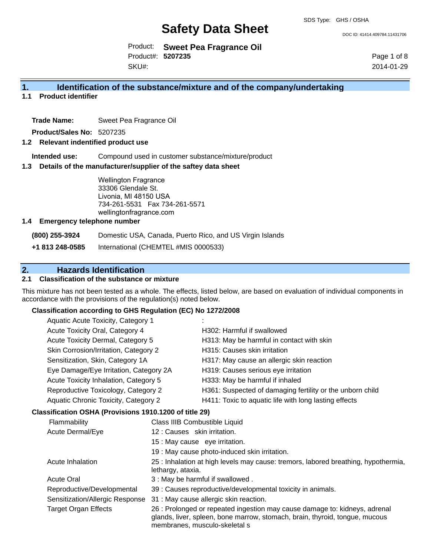DOC ID: 41414.409784.11431706

Product: **Sweet Pea Fragrance Oil**  Product#: **5207235** SKU#:

Page 1 of 8 2014-01-29

# **1. Identification of the substance/mixture and of the company/undertaking**

**1.1 Product identifier**

**Trade Name:** Sweet Pea Fragrance Oil

**Product/Sales No:** 5207235

### **1.2 Relevant indentified product use**

**Intended use:** Compound used in customer substance/mixture/product

### **1.3 Details of the manufacturer/supplier of the saftey data sheet**

Wellington Fragrance 33306 Glendale St. Livonia, MI 48150 USA 734-261-5531 Fax 734-261-5571 wellingtonfragrance.com

#### **1.4 Emergency telephone number**

**(800) 255-3924** Domestic USA, Canada, Puerto Rico, and US Virgin Islands

**+1 813 248-0585** International (CHEMTEL #MIS 0000533)

# **2. Hazards Identification**

# **2.1 Classification of the substance or mixture**

This mixture has not been tested as a whole. The effects, listed below, are based on evaluation of individual components in accordance with the provisions of the regulation(s) noted below.

#### **Classification according to GHS Regulation (EC) No 1272/2008**

| Aquatic Acute Toxicity, Category 1                                                                                             |                                                           |
|--------------------------------------------------------------------------------------------------------------------------------|-----------------------------------------------------------|
| Acute Toxicity Oral, Category 4                                                                                                | H302: Harmful if swallowed                                |
| Acute Toxicity Dermal, Category 5                                                                                              | H313: May be harmful in contact with skin                 |
| Skin Corrosion/Irritation, Category 2                                                                                          | H315: Causes skin irritation                              |
| Sensitization, Skin, Category 1A                                                                                               | H317: May cause an allergic skin reaction                 |
| Eye Damage/Eye Irritation, Category 2A                                                                                         | H319: Causes serious eye irritation                       |
| Acute Toxicity Inhalation, Category 5                                                                                          | H333: May be harmful if inhaled                           |
| Reproductive Toxicology, Category 2                                                                                            | H361: Suspected of damaging fertility or the unborn child |
| Aquatic Chronic Toxicity, Category 2                                                                                           | H411: Toxic to aquatic life with long lasting effects     |
| $\mathbf{F}$ . $\mathbf{F}$ , and $\mathbf{F}$ and $\mathbf{F}$ is the state of $\mathbf{F}$ and $\mathbf{F}$ and $\mathbf{F}$ |                                                           |

#### **Classification OSHA (Provisions 1910.1200 of title 29)**

| Flammability                    | Class IIIB Combustible Liquid                                                                                                                                                              |
|---------------------------------|--------------------------------------------------------------------------------------------------------------------------------------------------------------------------------------------|
| Acute Dermal/Eye                | 12: Causes skin irritation.                                                                                                                                                                |
|                                 | 15 : May cause eye irritation.                                                                                                                                                             |
|                                 | 19 : May cause photo-induced skin irritation.                                                                                                                                              |
| Acute Inhalation                | 25 : Inhalation at high levels may cause: tremors, labored breathing, hypothermia,<br>lethargy, ataxia.                                                                                    |
| <b>Acute Oral</b>               | 3 : May be harmful if swallowed.                                                                                                                                                           |
| Reproductive/Developmental      | 39 : Causes reproductive/developmental toxicity in animals.                                                                                                                                |
| Sensitization/Allergic Response | 31 : May cause allergic skin reaction.                                                                                                                                                     |
| <b>Target Organ Effects</b>     | 26 : Prolonged or repeated ingestion may cause damage to: kidneys, adrenal<br>glands, liver, spleen, bone marrow, stomach, brain, thyroid, tongue, mucous<br>membranes, musculo-skeletal s |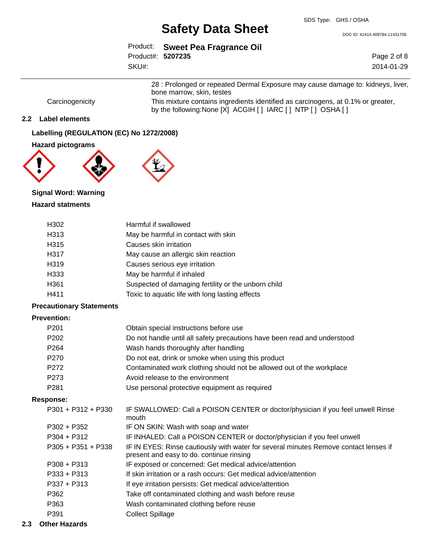DOC ID: 41414.409784.11431706

|                   | Product: Sweet Pea Fragrance Oil |
|-------------------|----------------------------------|
| Product#: 5207235 |                                  |
| SKU#:             |                                  |

Page 2 of 8 2014-01-29

28 : Prolonged or repeated Dermal Exposure may cause damage to: kidneys, liver, bone marrow, skin, testes Carcinogenicity This mixture contains ingredients identified as carcinogens, at 0.1% or greater,

by the following:None [X] ACGIH [ ] IARC [ ] NTP [ ] OSHA [ ]

### **2.2 Label elements**

**Labelling (REGULATION (EC) No 1272/2008)**

#### **Hazard pictograms**



# **Signal Word: Warning Hazard statments**

| H302 | Harmful if swallowed                                |
|------|-----------------------------------------------------|
| H313 | May be harmful in contact with skin                 |
| H315 | Causes skin irritation                              |
| H317 | May cause an allergic skin reaction                 |
| H319 | Causes serious eye irritation                       |
| H333 | May be harmful if inhaled                           |
| H361 | Suspected of damaging fertility or the unborn child |
| H411 | Toxic to aquatic life with long lasting effects     |
|      |                                                     |

### **Precautionary Statements**

# **Prevention:**

| P <sub>201</sub> | Obtain special instructions before use                                   |
|------------------|--------------------------------------------------------------------------|
| P <sub>202</sub> | Do not handle until all safety precautions have been read and understood |
| P <sub>264</sub> | Wash hands thoroughly after handling                                     |
| P <sub>270</sub> | Do not eat, drink or smoke when using this product                       |
| P <sub>272</sub> | Contaminated work clothing should not be allowed out of the workplace    |
| P273             | Avoid release to the environment                                         |
| P <sub>281</sub> | Use personal protective equipment as required                            |

#### **Response:**

| $P301 + P312 + P330$ | IF SWALLOWED: Call a POISON CENTER or doctor/physician if you feel unwell Rinse<br>mouth                                         |
|----------------------|----------------------------------------------------------------------------------------------------------------------------------|
| $P302 + P352$        | IF ON SKIN: Wash with soap and water                                                                                             |
| $P304 + P312$        | IF INHALED: Call a POISON CENTER or doctor/physician if you feel unwell                                                          |
| $P305 + P351 + P338$ | IF IN EYES: Rinse cautiously with water for several minutes Remove contact lenses if<br>present and easy to do. continue rinsing |
| $P308 + P313$        | IF exposed or concerned: Get medical advice/attention                                                                            |
| $P333 + P313$        | If skin irritation or a rash occurs: Get medical advice/attention                                                                |
| $P337 + P313$        | If eye irritation persists: Get medical advice/attention                                                                         |
| P362                 | Take off contaminated clothing and wash before reuse                                                                             |
| P363                 | Wash contaminated clothing before reuse                                                                                          |
| P391                 | <b>Collect Spillage</b>                                                                                                          |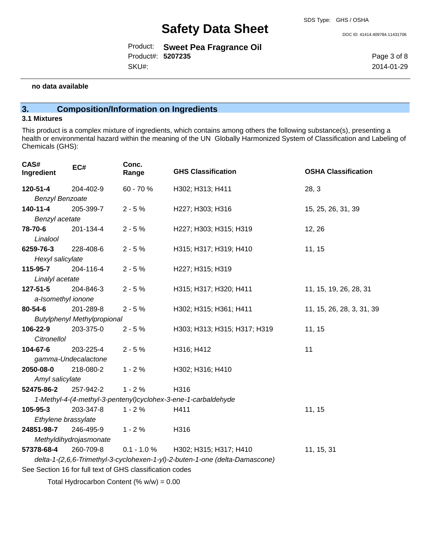Product: **Sweet Pea Fragrance Oil**  Product#: **5207235** SKU#:

DOC ID: 41414.409784.11431706

Page 3 of 8 2014-01-29

#### **no data available**

# **3. Composition/Information on Ingredients**

## **3.1 Mixtures**

This product is a complex mixture of ingredients, which contains among others the following substance(s), presenting a health or environmental hazard within the meaning of the UN Globally Harmonized System of Classification and Labeling of Chemicals (GHS):

| CAS#<br>Ingredient     | EC#                                | Conc.<br>Range                                           | <b>GHS Classification</b>                                                   | <b>OSHA Classification</b> |
|------------------------|------------------------------------|----------------------------------------------------------|-----------------------------------------------------------------------------|----------------------------|
| 120-51-4               | 204-402-9                          | 60 - 70 %                                                | H302; H313; H411                                                            | 28, 3                      |
| <b>Benzyl Benzoate</b> |                                    |                                                          |                                                                             |                            |
| 140-11-4               | 205-399-7                          | $2 - 5%$                                                 | H227; H303; H316                                                            | 15, 25, 26, 31, 39         |
| Benzyl acetate         |                                    |                                                          |                                                                             |                            |
| 78-70-6                | 201-134-4                          | $2 - 5%$                                                 | H227; H303; H315; H319                                                      | 12, 26                     |
| Linalool               |                                    |                                                          |                                                                             |                            |
| 6259-76-3              | 228-408-6                          | $2 - 5%$                                                 | H315; H317; H319; H410                                                      | 11, 15                     |
| Hexyl salicylate       |                                    |                                                          |                                                                             |                            |
| 115-95-7               | 204-116-4                          | $2 - 5%$                                                 | H227; H315; H319                                                            |                            |
| Linalyl acetate        |                                    |                                                          |                                                                             |                            |
| 127-51-5               | 204-846-3                          | $2 - 5%$                                                 | H315; H317; H320; H411                                                      | 11, 15, 19, 26, 28, 31     |
| a-Isomethyl ionone     |                                    |                                                          |                                                                             |                            |
| 80-54-6                | 201-289-8                          | $2 - 5%$                                                 | H302; H315; H361; H411                                                      | 11, 15, 26, 28, 3, 31, 39  |
|                        | <b>Butylphenyl Methylpropional</b> |                                                          |                                                                             |                            |
| 106-22-9               | 203-375-0                          | $2 - 5%$                                                 | H303; H313; H315; H317; H319                                                | 11, 15                     |
| Citronellol            |                                    |                                                          |                                                                             |                            |
| 104-67-6               | 203-225-4                          | $2 - 5%$                                                 | H316; H412                                                                  | 11                         |
|                        | gamma-Undecalactone                |                                                          |                                                                             |                            |
| 2050-08-0              | 218-080-2                          | $1 - 2%$                                                 | H302; H316; H410                                                            |                            |
| Amyl salicylate        |                                    |                                                          |                                                                             |                            |
| 52475-86-2             | 257-942-2                          | $1 - 2%$                                                 | H316                                                                        |                            |
|                        |                                    |                                                          | 1-Methyl-4-(4-methyl-3-pentenyl)cyclohex-3-ene-1-carbaldehyde               |                            |
| 105-95-3               | 203-347-8                          | $1 - 2%$                                                 | H411                                                                        | 11, 15                     |
| Ethylene brassylate    |                                    |                                                          |                                                                             |                            |
| 24851-98-7             | 246-495-9                          | $1 - 2%$                                                 | H316                                                                        |                            |
| Methyldihydrojasmonate |                                    |                                                          |                                                                             |                            |
| 57378-68-4             | 260-709-8                          | $0.1 - 1.0 \%$                                           | H302; H315; H317; H410                                                      | 11, 15, 31                 |
|                        |                                    |                                                          | delta-1-(2,6,6-Trimethyl-3-cyclohexen-1-yl)-2-buten-1-one (delta-Damascone) |                            |
|                        |                                    | See Section 16 for full text of GHS classification codes |                                                                             |                            |
|                        |                                    | Total Hydrocarbon Content (% $w/w$ ) = 0.00              |                                                                             |                            |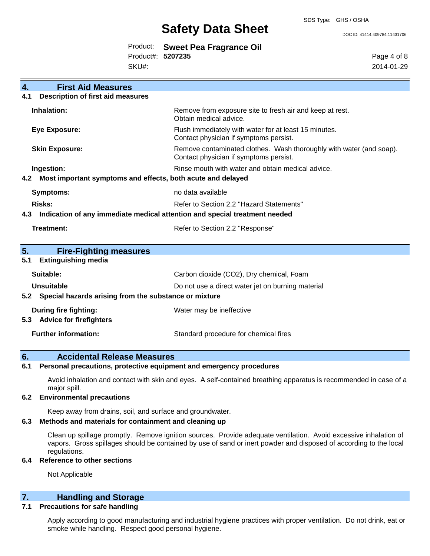# **Safety Data Sheet** Doc ID: 41414.409784.11431706

|                   | Product: Sweet Pea Fragrance Oil |
|-------------------|----------------------------------|
| Product#: 5207235 |                                  |
| SKU#:             |                                  |

Page 4 of 8 2014-01-29

| $\overline{4}$ . | <b>First Aid Measures</b>                                                  |                                                                                                               |  |
|------------------|----------------------------------------------------------------------------|---------------------------------------------------------------------------------------------------------------|--|
| 4.1              | <b>Description of first aid measures</b>                                   |                                                                                                               |  |
|                  | Inhalation:                                                                | Remove from exposure site to fresh air and keep at rest.<br>Obtain medical advice.                            |  |
|                  | <b>Eye Exposure:</b>                                                       | Flush immediately with water for at least 15 minutes.<br>Contact physician if symptoms persist.               |  |
|                  | <b>Skin Exposure:</b>                                                      | Remove contaminated clothes. Wash thoroughly with water (and soap).<br>Contact physician if symptoms persist. |  |
|                  | Ingestion:                                                                 | Rinse mouth with water and obtain medical advice.                                                             |  |
| 4.2              | Most important symptoms and effects, both acute and delayed                |                                                                                                               |  |
|                  | <b>Symptoms:</b>                                                           | no data available                                                                                             |  |
|                  | <b>Risks:</b>                                                              | Refer to Section 2.2 "Hazard Statements"                                                                      |  |
| 4.3              | Indication of any immediate medical attention and special treatment needed |                                                                                                               |  |
|                  | Treatment:                                                                 | Refer to Section 2.2 "Response"                                                                               |  |
| 5.               | <b>Fire-Fighting measures</b>                                              |                                                                                                               |  |
| 5.1              | <b>Extinguishing media</b>                                                 |                                                                                                               |  |
|                  | Suitable:                                                                  | Carbon dioxide (CO2), Dry chemical, Foam                                                                      |  |
|                  | Unsuitable                                                                 | Do not use a direct water jet on burning material                                                             |  |
|                  | 5.2 Special hazards arising from the substance or mixture                  |                                                                                                               |  |
| 5.3              | During fire fighting:<br><b>Advice for firefighters</b>                    | Water may be ineffective                                                                                      |  |
|                  | <b>Further information:</b>                                                | Standard procedure for chemical fires                                                                         |  |

## **6. Accidental Release Measures**

### **6.1 Personal precautions, protective equipment and emergency procedures**

Avoid inhalation and contact with skin and eyes. A self-contained breathing apparatus is recommended in case of a major spill.

#### **6.2 Environmental precautions**

Keep away from drains, soil, and surface and groundwater.

#### **6.3 Methods and materials for containment and cleaning up**

Clean up spillage promptly. Remove ignition sources. Provide adequate ventilation. Avoid excessive inhalation of vapors. Gross spillages should be contained by use of sand or inert powder and disposed of according to the local regulations.

#### **6.4 Reference to other sections**

Not Applicable

# **7. Handling and Storage**

#### **7.1 Precautions for safe handling**

Apply according to good manufacturing and industrial hygiene practices with proper ventilation. Do not drink, eat or smoke while handling. Respect good personal hygiene.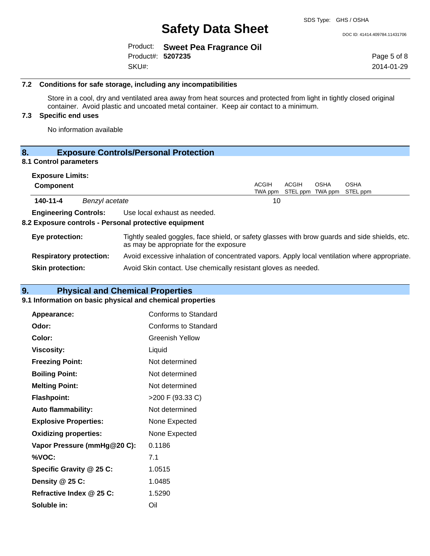|                   | Product: Sweet Pea Fragrance Oil |
|-------------------|----------------------------------|
| Product#: 5207235 |                                  |
| SKU#:             |                                  |

Page 5 of 8 2014-01-29

#### **7.2 Conditions for safe storage, including any incompatibilities**

Store in a cool, dry and ventilated area away from heat sources and protected from light in tightly closed original container. Avoid plastic and uncoated metal container. Keep air contact to a minimum.

## **7.3 Specific end uses**

No information available

# **8. Exposure Controls/Personal Protection**

# **8.1 Control parameters**

|                 | <b>Exposure Limits:</b>        |                |                                                                                                                                          |                         |       |                                 |                         |
|-----------------|--------------------------------|----------------|------------------------------------------------------------------------------------------------------------------------------------------|-------------------------|-------|---------------------------------|-------------------------|
|                 | <b>Component</b>               |                |                                                                                                                                          | <b>ACGIH</b><br>TWA ppm | ACGIH | <b>OSHA</b><br>STEL ppm TWA ppm | <b>OSHA</b><br>STEL ppm |
|                 | 140-11-4                       | Benzyl acetate |                                                                                                                                          | 10                      |       |                                 |                         |
|                 | <b>Engineering Controls:</b>   |                | Use local exhaust as needed.<br>8.2 Exposure controls - Personal protective equipment                                                    |                         |       |                                 |                         |
| Eye protection: |                                |                | Tightly sealed goggles, face shield, or safety glasses with brow guards and side shields, etc.<br>as may be appropriate for the exposure |                         |       |                                 |                         |
|                 | <b>Respiratory protection:</b> |                | Avoid excessive inhalation of concentrated vapors. Apply local ventilation where appropriate.                                            |                         |       |                                 |                         |
|                 | <b>Skin protection:</b>        |                | Avoid Skin contact. Use chemically resistant gloves as needed.                                                                           |                         |       |                                 |                         |

# **9. Physical and Chemical Properties**

### **9.1 Information on basic physical and chemical properties**

| Appearance:                  | <b>Conforms to Standard</b> |
|------------------------------|-----------------------------|
| Odor:                        | <b>Conforms to Standard</b> |
| Color:                       | <b>Greenish Yellow</b>      |
| <b>Viscosity:</b>            | Liquid                      |
| <b>Freezing Point:</b>       | Not determined              |
| <b>Boiling Point:</b>        | Not determined              |
| <b>Melting Point:</b>        | Not determined              |
| <b>Flashpoint:</b>           | >200 F (93.33 C)            |
| <b>Auto flammability:</b>    | Not determined              |
| <b>Explosive Properties:</b> | None Expected               |
| <b>Oxidizing properties:</b> | None Expected               |
| Vapor Pressure (mmHg@20 C):  | 0.1186                      |
| %VOC:                        | 7.1                         |
| Specific Gravity @ 25 C:     | 1.0515                      |
| Density @ 25 C:              | 1.0485                      |
| Refractive Index @ 25 C:     | 1.5290                      |
| Soluble in:                  | Oil                         |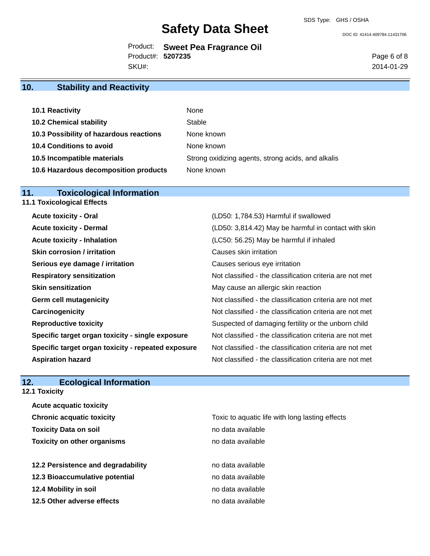# **Safety Data Sheet** DOC ID: 41414.409784.11431706

Product: **Sweet Pea Fragrance Oil**  Product#: **5207235** SKU#:

Page 6 of 8 2014-01-29

# **10. Stability and Reactivity**

| 10.1 Reactivity                         | None                                               |
|-----------------------------------------|----------------------------------------------------|
| <b>10.2 Chemical stability</b>          | Stable                                             |
| 10.3 Possibility of hazardous reactions | None known                                         |
| 10.4 Conditions to avoid                | None known                                         |
| 10.5 Incompatible materials             | Strong oxidizing agents, strong acids, and alkalis |
| 10.6 Hazardous decomposition products   | None known                                         |

# **11. Toxicological Information**

|  |  |  |  | <b>11.1 Toxicological Effects</b> |
|--|--|--|--|-----------------------------------|
|--|--|--|--|-----------------------------------|

| <b>Acute toxicity - Oral</b>                       | (LD50: 1,784.53) Harmful if swallowed                    |
|----------------------------------------------------|----------------------------------------------------------|
| <b>Acute toxicity - Dermal</b>                     | (LD50: 3,814.42) May be harmful in contact with skin     |
| <b>Acute toxicity - Inhalation</b>                 | (LC50: 56.25) May be harmful if inhaled                  |
| <b>Skin corrosion / irritation</b>                 | Causes skin irritation                                   |
| Serious eye damage / irritation                    | Causes serious eye irritation                            |
| <b>Respiratory sensitization</b>                   | Not classified - the classification criteria are not met |
| <b>Skin sensitization</b>                          | May cause an allergic skin reaction                      |
| <b>Germ cell mutagenicity</b>                      | Not classified - the classification criteria are not met |
| Carcinogenicity                                    | Not classified - the classification criteria are not met |
| <b>Reproductive toxicity</b>                       | Suspected of damaging fertility or the unborn child      |
| Specific target organ toxicity - single exposure   | Not classified - the classification criteria are not met |
| Specific target organ toxicity - repeated exposure | Not classified - the classification criteria are not met |
| <b>Aspiration hazard</b>                           | Not classified - the classification criteria are not met |

# **12. Ecological Information**

**12.1 Toxicity**

| <b>Acute acquatic toxicity</b>     |                                                 |
|------------------------------------|-------------------------------------------------|
| <b>Chronic acquatic toxicity</b>   | Toxic to aquatic life with long lasting effects |
| <b>Toxicity Data on soil</b>       | no data available                               |
| <b>Toxicity on other organisms</b> | no data available                               |
|                                    |                                                 |
| 12.2 Persistence and degradability | no data available                               |
| 12.3 Bioaccumulative potential     | no data available                               |
| 12.4 Mobility in soil              | no data available                               |
| 12.5 Other adverse effects         | no data available                               |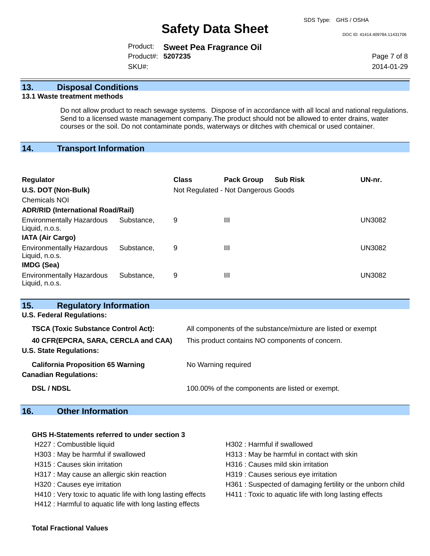# **Safety Data Sheet** DOC ID: 41414.409784.11431706

|                   | Product: Sweet Pea Fragrance Oil |
|-------------------|----------------------------------|
| Product#: 5207235 |                                  |
| SKU#:             |                                  |

Page 7 of 8 2014-01-29

## **13. Disposal Conditions**

### **13.1 Waste treatment methods**

Do not allow product to reach sewage systems. Dispose of in accordance with all local and national regulations. Send to a licensed waste management company.The product should not be allowed to enter drains, water courses or the soil. Do not contaminate ponds, waterways or ditches with chemical or used container.

# **14. Transport Information**

| <b>Regulator</b><br>U.S. DOT (Non-Bulk)<br><b>Chemicals NOI</b><br><b>ADR/RID (International Road/Rail)</b> |            | <b>Class</b> | <b>Pack Group</b><br>Not Regulated - Not Dangerous Goods | <b>Sub Risk</b> | UN-nr.        |
|-------------------------------------------------------------------------------------------------------------|------------|--------------|----------------------------------------------------------|-----------------|---------------|
| <b>Environmentally Hazardous</b><br>Liquid, n.o.s.<br><b>IATA (Air Cargo)</b>                               | Substance. | 9            | Ш                                                        |                 | UN3082        |
| <b>Environmentally Hazardous</b><br>Liquid, n.o.s.<br><b>IMDG (Sea)</b>                                     | Substance. | 9            | Ш                                                        |                 | <b>UN3082</b> |
| <b>Environmentally Hazardous</b><br>Liquid, n.o.s.                                                          | Substance. | 9            | Ш                                                        |                 | UN3082        |

| 15.<br><b>Regulatory Information</b>                                     |                                                              |
|--------------------------------------------------------------------------|--------------------------------------------------------------|
| <b>U.S. Federal Regulations:</b>                                         |                                                              |
| <b>TSCA (Toxic Substance Control Act):</b>                               | All components of the substance/mixture are listed or exempt |
| 40 CFR(EPCRA, SARA, CERCLA and CAA)<br><b>U.S. State Regulations:</b>    | This product contains NO components of concern.              |
| <b>California Proposition 65 Warning</b><br><b>Canadian Regulations:</b> | No Warning required                                          |
| <b>DSL / NDSL</b>                                                        | 100.00% of the components are listed or exempt.              |

# **16. Other Information**

### **GHS H-Statements referred to under section 3**

- H227 : Combustible liquid **H302** : Harmful if swallowed
- 
- 
- H317 : May cause an allergic skin reaction **H319** : Causes serious eye irritation
- 
- H410 : Very toxic to aquatic life with long lasting effects H411 : Toxic to aquatic life with long lasting effects
- H412 : Harmful to aquatic life with long lasting effects
- 
- H303 : May be harmful if swallowed H313 : May be harmful in contact with skin
- H315 : Causes skin irritation et al. (a) H316 : Causes mild skin irritation
	-
- H320 : Causes eye irritation **H361** : Suspected of damaging fertility or the unborn child
	-

#### **Total Fractional Values**